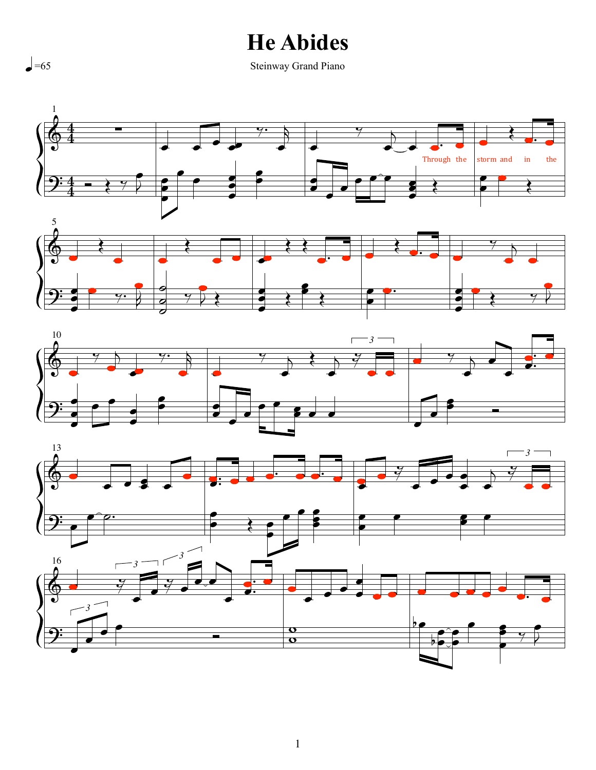## **He Abides**

Steinway Grand Piano









 $\bigcup_{n=65}$